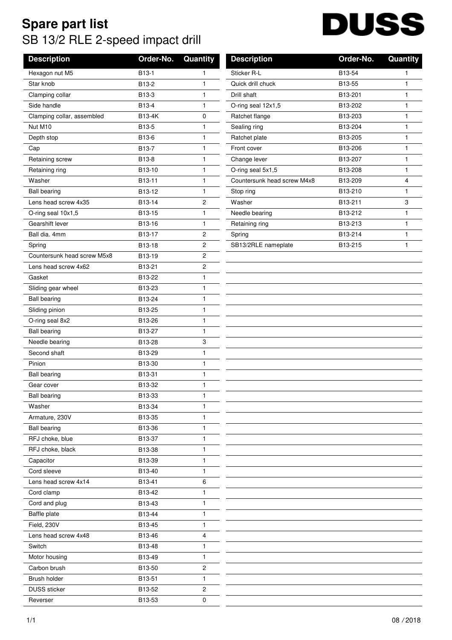## **Spare part list** SB 13/2 RLE 2-speed impact drill

## **DUSS**

| <b>Description</b>          | Order-No. | Quantity     | <b>Description</b>          | Order-No. | Quan         |
|-----------------------------|-----------|--------------|-----------------------------|-----------|--------------|
| Hexagon nut M5              | B13-1     | 1            | Sticker R-L                 | B13-54    | 1            |
| Star knob                   | B13-2     | 1            | Quick drill chuck           | B13-55    | $\mathbf{1}$ |
| Clamping collar             | B13-3     | 1            | Drill shaft                 | B13-201   | 1            |
| Side handle                 | B13-4     | 1            | O-ring seal 12x1,5          | B13-202   | 1            |
| Clamping collar, assembled  | B13-4K    | 0            | Ratchet flange              | B13-203   | 1            |
| Nut M10                     | B13-5     | 1            | Sealing ring                | B13-204   | $\mathbf{1}$ |
| Depth stop                  | B13-6     | 1            | Ratchet plate               | B13-205   | 1            |
| Cap                         | B13-7     | 1            | Front cover                 | B13-206   | 1            |
| Retaining screw             | B13-8     | 1            | Change lever                | B13-207   | 1            |
| Retaining ring              | B13-10    | 1            | O-ring seal 5x1,5           | B13-208   | 1            |
| Washer                      | B13-11    | 1            | Countersunk head screw M4x8 | B13-209   | 4            |
| <b>Ball bearing</b>         | B13-12    | 1            | Stop ring                   | B13-210   | 1            |
| Lens head screw 4x35        | B13-14    | 2            | Washer                      | B13-211   | 3            |
| O-ring seal 10x1,5          | B13-15    | 1            | Needle bearing              | B13-212   | 1            |
| Gearshift lever             | B13-16    | 1            | Retaining ring              | B13-213   | 1            |
| Ball dia. 4mm               | B13-17    | 2            | Spring                      | B13-214   | $\mathbf{1}$ |
| Spring                      | B13-18    | 2            | SB13/2RLE nameplate         | B13-215   | 1            |
| Countersunk head screw M5x8 | B13-19    | 2            |                             |           |              |
| Lens head screw 4x62        | B13-21    | 2            |                             |           |              |
| Gasket                      | B13-22    | 1            |                             |           |              |
| Sliding gear wheel          | B13-23    | 1            |                             |           |              |
| <b>Ball bearing</b>         | B13-24    | $\mathbf{1}$ |                             |           |              |
| Sliding pinion              | B13-25    | $\mathbf{1}$ |                             |           |              |
| O-ring seal 8x2             | B13-26    | 1            |                             |           |              |
| <b>Ball bearing</b>         | B13-27    | 1            |                             |           |              |
| Needle bearing              | B13-28    | 3            |                             |           |              |
| Second shaft                | B13-29    | 1            |                             |           |              |
| Pinion                      | B13-30    | 1            |                             |           |              |
| <b>Ball bearing</b>         | B13-31    | $\mathbf{1}$ |                             |           |              |
| Gear cover                  | B13-32    | $\mathbf{1}$ |                             |           |              |
| <b>Ball bearing</b>         | B13-33    | 1            |                             |           |              |
| Washer                      | B13-34    | 1            |                             |           |              |
| Armature, 230V              | B13-35    | 1            |                             |           |              |
| <b>Ball bearing</b>         | B13-36    | 1            |                             |           |              |
| RFJ choke, blue             | B13-37    | 1            |                             |           |              |
| RFJ choke, black            | B13-38    | $\mathbf{1}$ |                             |           |              |
| Capacitor                   | B13-39    | 1            |                             |           |              |
| Cord sleeve                 | B13-40    | 1            |                             |           |              |
| Lens head screw 4x14        | B13-41    | 6            |                             |           |              |
| Cord clamp                  | B13-42    | 1            |                             |           |              |
| Cord and plug               | B13-43    | 1            |                             |           |              |
| Baffle plate                | B13-44    | 1            |                             |           |              |
| Field, 230V                 | B13-45    | 1            |                             |           |              |
| Lens head screw 4x48        | B13-46    | 4            |                             |           |              |
| Switch                      | B13-48    | 1            |                             |           |              |
| Motor housing               | B13-49    | 1            |                             |           |              |
| Carbon brush                | B13-50    | 2            |                             |           |              |
| Brush holder                | B13-51    | 1            |                             |           |              |
| <b>DUSS</b> sticker         | B13-52    | 2            |                             |           |              |
| Reverser                    | B13-53    | 0            |                             |           |              |

| <b>Description</b>          | Order-No.            | Quantity |
|-----------------------------|----------------------|----------|
| Sticker R-L                 | B13-54               | 1        |
| Quick drill chuck           | B <sub>13-55</sub>   | 1        |
| Drill shaft                 | B <sub>13</sub> -201 | 1        |
| O-ring seal $12x1,5$        | B13-202              | 1        |
| Ratchet flange              | B13-203              | 1        |
| Sealing ring                | B13-204              | 1        |
| Ratchet plate               | B13-205              | 1        |
| Front cover                 | B13-206              | 1        |
| Change lever                | B13-207              | 1        |
| O-ring seal 5x1,5           | B13-208              | 1        |
| Countersunk head screw M4x8 | B <sub>13</sub> -209 | 4        |
| Stop ring                   | B13-210              | 1        |
| Washer                      | B13-211              | 3        |
| Needle bearing              | B13-212              | 1        |
| Retaining ring              | B13-213              | 1        |
| Spring                      | B13-214              | 1        |
| SB13/2RLE nameplate         | B13-215              | 1        |
|                             |                      |          |